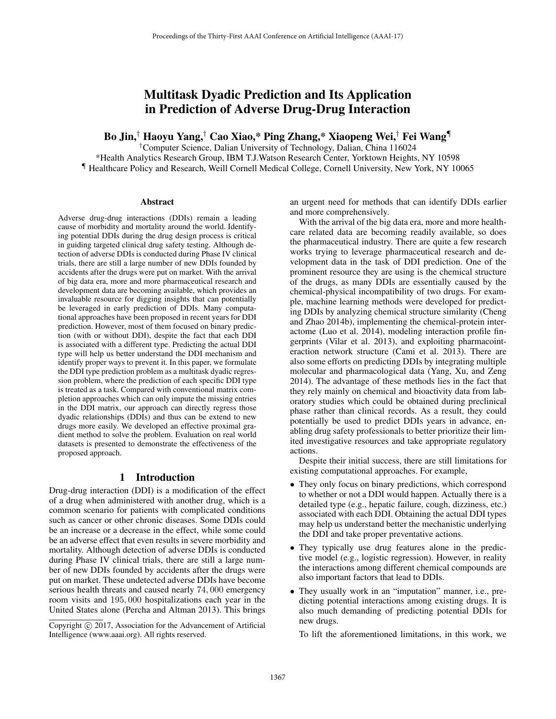# Multitask Dyadic Prediction and Its Application in Prediction of Adverse Drug-Drug Interaction

Bo Jin,† Haoyu Yang,† Cao Xiao,\* Ping Zhang,\* Xiaopeng Wei,† Fei Wang¶

†Computer Science, Dalian University of Technology, Dalian, China 116024

\*Health Analytics Research Group, IBM T.J.Watson Research Center, Yorktown Heights, NY 10598 ¶ Healthcare Policy and Research, Weill Cornell Medical College, Cornell University, New York, NY 10065

#### **Abstract**

Adverse drug-drug interactions (DDIs) remain a leading cause of morbidity and mortality around the world. Identifying potential DDIs during the drug design process is critical in guiding targeted clinical drug safety testing. Although detection of adverse DDIs is conducted during Phase IV clinical trials, there are still a large number of new DDIs founded by accidents after the drugs were put on market. With the arrival of big data era, more and more pharmaceutical research and development data are becoming available, which provides an invaluable resource for digging insights that can potentially be leveraged in early prediction of DDIs. Many computational approaches have been proposed in recent years for DDI prediction. However, most of them focused on binary prediction (with or without DDI), despite the fact that each DDI is associated with a different type. Predicting the actual DDI type will help us better understand the DDI mechanism and identify proper ways to prevent it. In this paper, we formulate the DDI type prediction problem as a multitask dyadic regression problem, where the prediction of each specific DDI type is treated as a task. Compared with conventional matrix completion approaches which can only impute the missing entries in the DDI matrix, our approach can directly regress those dyadic relationships (DDIs) and thus can be extend to new drugs more easily. We developed an effective proximal gradient method to solve the problem. Evaluation on real world datasets is presented to demonstrate the effectiveness of the proposed approach.

## 1 Introduction

Drug-drug interaction (DDI) is a modification of the effect of a drug when administered with another drug, which is a common scenario for patients with complicated conditions such as cancer or other chronic diseases. Some DDIs could be an increase or a decrease in the effect, while some could be an adverse effect that even results in severe morbidity and mortality. Although detection of adverse DDIs is conducted during Phase IV clinical trials, there are still a large number of new DDIs founded by accidents after the drugs were put on market. These undetected adverse DDIs have become serious health threats and caused nearly <sup>74</sup>, <sup>000</sup> emergency room visits and <sup>195</sup>, <sup>000</sup> hospitalizations each year in the United States alone (Percha and Altman 2013). This brings

an urgent need for methods that can identify DDIs earlier and more comprehensively.

With the arrival of the big data era, more and more healthcare related data are becoming readily available, so does the pharmaceutical industry. There are quite a few research works trying to leverage pharmaceutical research and development data in the task of DDI prediction. One of the prominent resource they are using is the chemical structure of the drugs, as many DDIs are essentially caused by the chemical-physical incompatibility of two drugs. For example, machine learning methods were developed for predicting DDIs by analyzing chemical structure similarity (Cheng and Zhao 2014b), implementing the chemical-protein interactome (Luo et al. 2014), modeling interaction profile fingerprints (Vilar et al. 2013), and exploiting pharmacointeraction network structure (Cami et al. 2013). There are also some efforts on predicting DDIs by integrating multiple molecular and pharmacological data (Yang, Xu, and Zeng 2014). The advantage of these methods lies in the fact that they rely mainly on chemical and bioactivity data from laboratory studies which could be obtained during preclinical phase rather than clinical records. As a result, they could potentially be used to predict DDIs years in advance, enabling drug safety professionals to better prioritize their limited investigative resources and take appropriate regulatory actions.

Despite their initial success, there are still limitations for existing computational approaches. For example,

- They only focus on binary predictions, which correspond to whether or not a DDI would happen. Actually there is a detailed type (e.g., hepatic failure, cough, dizziness, etc.) associated with each DDI. Obtaining the actual DDI types may help us understand better the mechanistic underlying the DDI and take proper preventative actions.
- They typically use drug features alone in the predictive model (e.g., logistic regression). However, in reality the interactions among different chemical compounds are also important factors that lead to DDIs.
- They usually work in an "imputation" manner, i.e., predicting potential interactions among existing drugs. It is also much demanding of predicting potential DDIs for new drugs.

To lift the aforementioned limitations, in this work, we

Copyright  $\odot$  2017, Association for the Advancement of Artificial Intelligence (www.aaai.org). All rights reserved.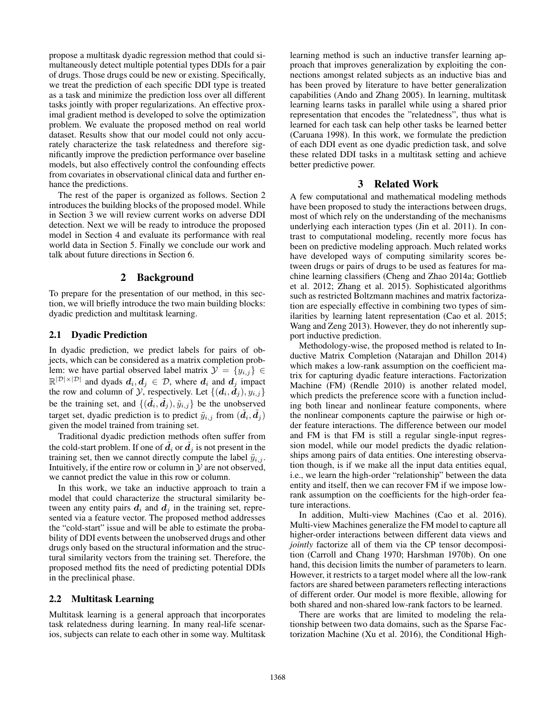propose a multitask dyadic regression method that could simultaneously detect multiple potential types DDIs for a pair of drugs. Those drugs could be new or existing. Specifically, we treat the prediction of each specific DDI type is treated as a task and minimize the prediction loss over all different tasks jointly with proper regularizations. An effective proximal gradient method is developed to solve the optimization problem. We evaluate the proposed method on real world dataset. Results show that our model could not only accurately characterize the task relatedness and therefore significantly improve the prediction performance over baseline models, but also effectively control the confounding effects from covariates in observational clinical data and further enhance the predictions.

The rest of the paper is organized as follows. Section 2 introduces the building blocks of the proposed model. While in Section 3 we will review current works on adverse DDI detection. Next we will be ready to introduce the proposed model in Section 4 and evaluate its performance with real world data in Section 5. Finally we conclude our work and talk about future directions in Section 6.

## 2 Background

To prepare for the presentation of our method, in this section, we will briefly introduce the two main building blocks: dyadic prediction and multitask learning.

# 2.1 Dyadic Prediction

In dyadic prediction, we predict labels for pairs of objects, which can be considered as a matrix completion problem: we have partial observed label matrix  $\mathcal{Y} = \{y_{i,j}\}\in$  $\mathbb{R}^{|\mathcal{D}| \times |\mathcal{D}|}$  and dyads  $d_i, d_j \in \mathcal{D}$ , where  $d_i$  and  $d_j$  impact the row and column of  $\mathcal{Y}$ , respectively. Let  $\{(\boldsymbol{d}_i, \boldsymbol{d}_j), y_{i,j}\}$ be the training set, and  $\{(\tilde{d}_i, \tilde{d}_j), \tilde{y}_{i,j}\}$  be the unobserved<br>terms is duration is to prodict  $\tilde{y}_i$  from  $(\tilde{d}, \tilde{d})$ target set, dyadic prediction is to predict  $\tilde{y}_{i,j}$  from  $(\tilde{d}_i, \tilde{d}_j)$  oiven the model trained from training set given the model trained from training set.

Traditional dyadic prediction methods often suffer from the cold-start problem. If one of  $\tilde{d}_i$  or  $\tilde{d}_j$  is not present in the training set, then we cannot directly compute the label  $\tilde{y}_{i,j}$ . Intuitively, if the entire row or column in  $\mathcal Y$  are not observed, we cannot predict the value in this row or column.

In this work, we take an inductive approach to train a model that could characterize the structural similarity between any entity pairs  $d_i$  and  $d_j$  in the training set, represented via a feature vector. The proposed method addresses the "cold-start" issue and will be able to estimate the probability of DDI events between the unobserved drugs and other drugs only based on the structural information and the structural similarity vectors from the training set. Therefore, the proposed method fits the need of predicting potential DDIs in the preclinical phase.

## 2.2 Multitask Learning

Multitask learning is a general approach that incorporates task relatedness during learning. In many real-life scenarios, subjects can relate to each other in some way. Multitask learning method is such an inductive transfer learning approach that improves generalization by exploiting the connections amongst related subjects as an inductive bias and has been proved by literature to have better generalization capabilities (Ando and Zhang 2005). In learning, multitask learning learns tasks in parallel while using a shared prior representation that encodes the "relatedness", thus what is learned for each task can help other tasks be learned better (Caruana 1998). In this work, we formulate the prediction of each DDI event as one dyadic prediction task, and solve these related DDI tasks in a multitask setting and achieve better predictive power.

# 3 Related Work

A few computational and mathematical modeling methods have been proposed to study the interactions between drugs, most of which rely on the understanding of the mechanisms underlying each interaction types (Jin et al. 2011). In contrast to computational modeling, recently more focus has been on predictive modeling approach. Much related works have developed ways of computing similarity scores between drugs or pairs of drugs to be used as features for machine learning classifiers (Cheng and Zhao 2014a; Gottlieb et al. 2012; Zhang et al. 2015). Sophisticated algorithms such as restricted Boltzmann machines and matrix factorization are especially effective in combining two types of similarities by learning latent representation (Cao et al. 2015; Wang and Zeng 2013). However, they do not inherently support inductive prediction.

Methodology-wise, the proposed method is related to Inductive Matrix Completion (Natarajan and Dhillon 2014) which makes a low-rank assumption on the coefficient matrix for capturing dyadic feature interactions. Factorization Machine (FM) (Rendle 2010) is another related model, which predicts the preference score with a function including both linear and nonlinear feature components, where the nonlinear components capture the pairwise or high order feature interactions. The difference between our model and FM is that FM is still a regular single-input regression model, while our model predicts the dyadic relationships among pairs of data entities. One interesting observation though, is if we make all the input data entities equal, i.e., we learn the high-order "relationship" between the data entity and itself, then we can recover FM if we impose lowrank assumption on the coefficients for the high-order feature interactions.

In addition, Multi-view Machines (Cao et al. 2016). Multi-view Machines generalize the FM model to capture all higher-order interactions between different data views and *jointly* factorize all of them via the CP tensor decomposition (Carroll and Chang 1970; Harshman 1970b). On one hand, this decision limits the number of parameters to learn. However, it restricts to a target model where all the low-rank factors are shared between parameters reflecting interactions of different order. Our model is more flexible, allowing for both shared and non-shared low-rank factors to be learned.

There are works that are limited to modeling the relationship between two data domains, such as the Sparse Factorization Machine (Xu et al. 2016), the Conditional High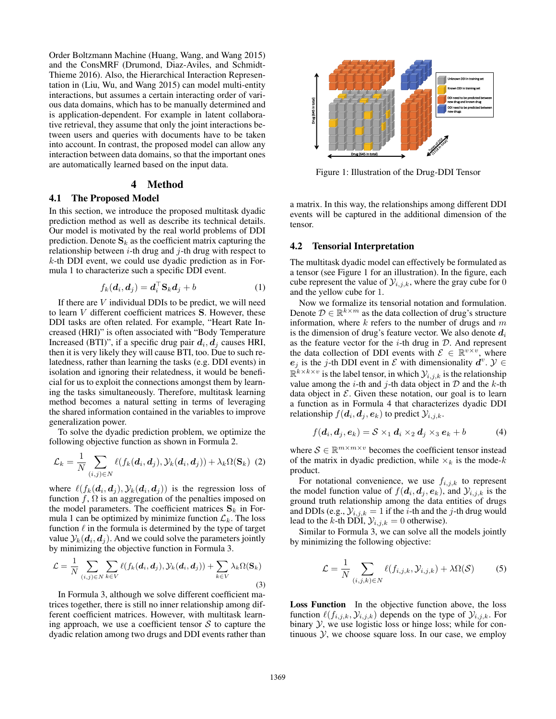Order Boltzmann Machine (Huang, Wang, and Wang 2015) and the ConsMRF (Drumond, Diaz-Aviles, and Schmidt-Thieme 2016). Also, the Hierarchical Interaction Representation in (Liu, Wu, and Wang 2015) can model multi-entity interactions, but assumes a certain interacting order of various data domains, which has to be manually determined and is application-dependent. For example in latent collaborative retrieval, they assume that only the joint interactions between users and queries with documents have to be taken into account. In contrast, the proposed model can allow any interaction between data domains, so that the important ones are automatically learned based on the input data.

# 4 Method

### 4.1 The Proposed Model

In this section, we introduce the proposed multitask dyadic prediction method as well as describe its technical details. Our model is motivated by the real world problems of DDI prediction. Denote  $S_k$  as the coefficient matrix capturing the relationship between  $i$ -th drug and  $j$ -th drug with respect to  $k$ -th DDI event, we could use dyadic prediction as in Formula 1 to characterize such a specific DDI event.

$$
f_k(\boldsymbol{d}_i, \boldsymbol{d}_j) = \boldsymbol{d}_i^\top \mathbf{S}_k \boldsymbol{d}_j + b \tag{1}
$$

If there are  $V$  individual DDIs to be predict, we will need to learn V different coefficient matrices **<sup>S</sup>**. However, these DDI tasks are often related. For example, "Heart Rate Increased (HRI)" is often associated with "Body Temperature Increased (BTI)", if a specific drug pair  $d_i$ ,  $d_j$  causes HRI, then it is very likely they will cause BTI, too. Due to such relatedness, rather than learning the tasks (e.g. DDI events) in isolation and ignoring their relatedness, it would be beneficial for us to exploit the connections amongst them by learning the tasks simultaneously. Therefore, multitask learning method becomes a natural setting in terms of leveraging the shared information contained in the variables to improve generalization power.

To solve the dyadic prediction problem, we optimize the following objective function as shown in Formula 2.

$$
\mathcal{L}_k = \frac{1}{N} \sum_{(i,j) \in N} \ell(f_k(\boldsymbol{d}_i, \boldsymbol{d}_j), \mathcal{Y}_k(\boldsymbol{d}_i, \boldsymbol{d}_j)) + \lambda_k \Omega(\mathbf{S}_k)
$$
 (2)

where  $\ell(f_k(\boldsymbol{d}_i, \boldsymbol{d}_j), \mathcal{Y}_k(\boldsymbol{d}_i, \boldsymbol{d}_j))$  is the regression loss of function  $f \Omega$  is an aggregation of the penalties imposed on function  $f$ ,  $\Omega$  is an aggregation of the penalties imposed on the model parameters. The coefficient matrices  $S_k$  in Formula 1 can be optimized by minimize function  $\mathcal{L}_k$ . The loss function  $\ell$  in the formula is determined by the type of target value  $\mathcal{V}_k(\mathbf{d}_i, \mathbf{d}_k)$ . And we could solve the parameters jointly value  $\mathcal{Y}_k(\boldsymbol{d}_i, \boldsymbol{d}_j)$ . And we could solve the parameters jointly by minimizing the objective function in Formula 3.

$$
\mathcal{L} = \frac{1}{N} \sum_{(i,j) \in N} \sum_{k \in V} \ell(f_k(\boldsymbol{d}_i, \boldsymbol{d}_j), \mathcal{Y}_k(\boldsymbol{d}_i, \boldsymbol{d}_j)) + \sum_{k \in V} \lambda_k \Omega(\mathbf{S}_k)
$$
\n(3)

In Formula 3, although we solve different coefficient matrices together, there is still no inner relationship among different coefficient matrices. However, with multitask learning approach, we use a coefficient tensor  $S$  to capture the dyadic relation among two drugs and DDI events rather than



Figure 1: Illustration of the Drug-DDI Tensor

a matrix. In this way, the relationships among different DDI events will be captured in the additional dimension of the tensor.

#### 4.2 Tensorial Interpretation

The multitask dyadic model can effectively be formulated as a tensor (see Figure 1 for an illustration). In the figure, each cube represent the value of  $\mathcal{Y}_{i,j,k}$ , where the gray cube for 0 and the yellow cube for 1.

Now we formalize its tensorial notation and formulation. Denote  $D \in \mathbb{R}^{k \times m}$  as the data collection of drug's structure information, where  $k$  refers to the number of drugs and  $m$ is the dimension of drug's feature vector. We also denote  $d_i$ as the feature vector for the  $i$ -th drug in  $D$ . And represent the data collection of DDI events with  $\mathcal{E} \in \mathbb{R}^{v \times v}$ , where *e*<sub>j</sub> is the j-th DDI event in  $\mathcal E$  with dimensionality  $d^v$ .  $\mathcal Y$  ∈  $\mathbb{R}^{k \times k \times v}$  is the label tensor, in which  $\mathcal{Y}_{i,j,k}$  is the relationship value among the *i*-th and *j*-th data object in  $D$  and the *k*-th data object in  $\mathcal E$ . Given these notation, our goal is to learn a function as in Formula 4 that characterizes dyadic DDI relationship  $f(\mathbf{d}_i, \mathbf{d}_j, \mathbf{e}_k)$  to predict  $\mathcal{Y}_{i,j,k}$ .

$$
f(\boldsymbol{d}_i, \boldsymbol{d}_j, \boldsymbol{e}_k) = \mathcal{S} \times_1 \boldsymbol{d}_i \times_2 \boldsymbol{d}_j \times_3 \boldsymbol{e}_k + b \tag{4}
$$

where  $S \in \mathbb{R}^{m \times m \times v}$  becomes the coefficient tensor instead of the matrix in dyadic prediction, while  $\times_k$  is the mode-k product.

For notational convenience, we use  $f_{i,j,k}$  to represent the model function value of  $f(\mathbf{d}_i, \mathbf{d}_j, \mathbf{e}_k)$ , and  $\mathcal{Y}_{i,j,k}$  is the ground truth relationship among the data entities of drugs and DDIs (e.g.,  $\mathcal{Y}_{i,j,k} = 1$  if the *i*-th and the *j*-th drug would lead to the k-th DDI,  $\mathcal{Y}_{i,j,k} = 0$  otherwise).

Similar to Formula 3, we can solve all the models jointly by minimizing the following objective:

$$
\mathcal{L} = \frac{1}{N} \sum_{(i,j,k)\in N} \ell(f_{i,j,k}, \mathcal{Y}_{i,j,k}) + \lambda \Omega(\mathcal{S}) \tag{5}
$$

Loss Function In the objective function above, the loss function  $\ell(f_{i,j,k}, \mathcal{Y}_{i,j,k})$  depends on the type of  $\mathcal{Y}_{i,j,k}$ . For the the use logistic loss or hinge loss: while for conbinary  $Y$ , we use logistic loss or hinge loss; while for continuous  $\mathcal{Y}$ , we choose square loss. In our case, we employ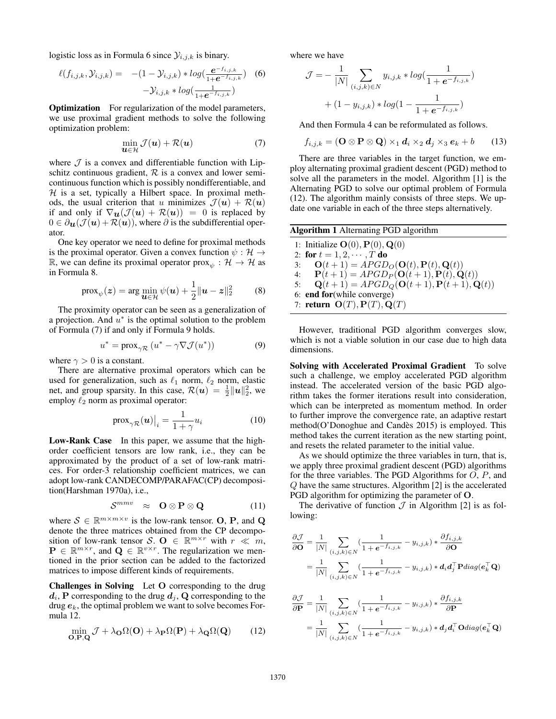logistic loss as in Formula 6 since  $\mathcal{Y}_{i,j,k}$  is binary.

$$
\ell(f_{i,j,k}, \mathcal{Y}_{i,j,k}) = -(1 - \mathcal{Y}_{i,j,k}) * log(\frac{e^{-f_{i,j,k}}}{1 + e^{-f_{i,j,k}}})
$$
 (6)  
-
$$
\mathcal{Y}_{i,j,k} * log(\frac{1}{1 + e^{-f_{i,j,k}}})
$$

**Optimization** For regularization of the model parameters, we use proximal gradient methods to solve the following optimization problem:

$$
\min_{\boldsymbol{u}\in\mathcal{H}}\mathcal{J}(\boldsymbol{u})+\mathcal{R}(\boldsymbol{u})\tag{7}
$$

where  $J$  is a convex and differentiable function with Lipschitz continuous gradient,  $R$  is a convex and lower semicontinuous function which is possibly nondifferentiable, and  $H$  is a set, typically a Hilbert space. In proximal methods, the usual criterion that u minimizes  $\mathcal{J}(u) + \mathcal{R}(u)$ if and only if  $\nabla$ *u*( $\mathcal{J}$ *u*) +  $\mathcal{R}$ *u*)) = 0 is replaced by  $0 \in \partial_{\mathbf{u}}(\mathcal{J}(\mathbf{u}) + \mathcal{R}(\mathbf{u}))$ , where  $\partial$  is the subdifferential operator.

One key operator we need to define for proximal methods is the proximal operator. Given a convex function  $\psi : \mathcal{H} \to$ R, we can define its proximal operator  $prox_{\psi}: \mathcal{H} \to \mathcal{H}$  as in Formula 8.

$$
\text{prox}_{\psi}(z) = \arg\min_{\mathbf{u}\in\mathcal{H}} \psi(\mathbf{u}) + \frac{1}{2} \|\mathbf{u} - z\|_2^2 \tag{8}
$$

The proximity operator can be seen as a generalization of a projection. And  $u^*$  is the optimal solution to the problem of Formula (7) if and only if Formula 9 holds.

$$
u^* = \operatorname{prox}_{\gamma \mathcal{R}} \left( u^* - \gamma \nabla \mathcal{J}(u^*) \right) \tag{9}
$$

where  $\gamma > 0$  is a constant.

There are alternative proximal operators which can be used for generalization, such as  $\ell_1$  norm,  $\ell_2$  norm, elastic<br>net and group sparsity In this case  $R(u) = \frac{1}{2} ||u||_2^2$  we net, and group sparsity. In this case,  $\mathcal{R}(u) = \frac{1}{2} ||u||_2^2$ , we employ  $\ell_2$  norm as proximal operator:

$$
\text{prox}_{\gamma \mathcal{R}}(\boldsymbol{u})\big|_{i} = \frac{1}{1+\gamma} u_i \tag{10}
$$

**Low-Rank Case** In this paper, we assume that the highorder coefficient tensors are low rank, i.e., they can be approximated by the product of a set of low-rank matrices. For order-3 relationship coefficient matrices, we can adopt low-rank CANDECOMP/PARAFAC(CP) decomposition(Harshman 1970a), i.e.,

$$
S^{mmv} \approx \mathbf{O} \otimes \mathbf{P} \otimes \mathbf{Q} \tag{11}
$$

where  $S \in \mathbb{R}^{m \times m \times v}$  is the low-rank tensor. **O**, **P**, and **Q** denote the three matrices obtained from the CP decomposition of low-rank tensor S.  $\mathbf{O} \in \mathbb{R}^{m \times r}$  with  $r \ll m$ ,  $P \in \mathbb{R}^{m \times r}$ , and  $Q \in \mathbb{R}^{v \times r}$ . The regularization we mentioned in the prior section can be added to the factorized matrices to impose different kinds of requirements.

Challenges in Solving Let **O** corresponding to the drug  $d_i$ , **P** corresponding to the drug  $d_i$ , **Q** corresponding to the drug  $e_k$ , the optimal problem we want to solve becomes Formula 12.

$$
\min_{\mathbf{O},\mathbf{P},\mathbf{Q}} \mathcal{J} + \lambda_{\mathbf{O}} \Omega(\mathbf{O}) + \lambda_{\mathbf{P}} \Omega(\mathbf{P}) + \lambda_{\mathbf{Q}} \Omega(\mathbf{Q}) \tag{12}
$$

where we have

$$
\mathcal{J} = -\frac{1}{|N|} \sum_{(i,j,k)\in N} y_{i,j,k} * log(\frac{1}{1 + e^{-f_{i,j,k}}})
$$

$$
+ (1 - y_{i,j,k}) * log(1 - \frac{1}{1 + e^{-f_{i,j,k}}})
$$

And then Formula 4 can be reformulated as follows.

$$
f_{i,j,k} = (\mathbf{O} \otimes \mathbf{P} \otimes \mathbf{Q}) \times_1 \mathbf{d}_i \times_2 \mathbf{d}_j \times_3 \mathbf{e}_k + b \qquad (13)
$$

There are three variables in the target function, we employ alternating proximal gradient descent (PGD) method to solve all the parameters in the model. Algorithm [1] is the Alternating PGD to solve our optimal problem of Formula (12). The algorithm mainly consists of three steps. We update one variable in each of the three steps alternatively.

| <b>Algorithm 1</b> Alternating PGD algorithm                                  |
|-------------------------------------------------------------------------------|
| 1: Initialize $\mathbf{O}(0), \mathbf{P}(0), \mathbf{Q}(0)$                   |
| 2: for $t = 1, 2, \cdots, T$ do                                               |
| $\mathbf{O}(t+1) = APGD_O(\mathbf{O}(t), \mathbf{P}(t), \mathbf{Q}(t))$<br>3: |
| 4: $P(t+1) = APGD_P(O(t+1), P(t), Q(t))$                                      |
| ${\bf Q}(t+1) = APGD_O({\bf O}(t+1), {\bf P}(t+1), {\bf Q}(t))$<br>5:         |
| 6: end for (while converge)                                                   |
| 7: return $O(T)$ , $P(T)$ , $Q(T)$                                            |
|                                                                               |

However, traditional PGD algorithm converges slow, which is not a viable solution in our case due to high data dimensions.

Solving with Accelerated Proximal Gradient To solve such a challenge, we employ accelerated PGD algorithm instead. The accelerated version of the basic PGD algorithm takes the former iterations result into consideration, which can be interpreted as momentum method. In order to further improve the convergence rate, an adaptive restart method(O'Donoghue and Candès 2015) is employed. This method takes the current iteration as the new starting point, and resets the related parameter to the initial value.

As we should optimize the three variables in turn, that is, we apply three proximal gradient descent (PGD) algorithms for the three variables. The PGD Algorithms for  $O, P$ , and Q have the same structures. Algorithm [2] is the accelerated PGD algorithm for optimizing the parameter of **O**.

The derivative of function  $\mathcal J$  in Algorithm [2] is as following:

$$
\frac{\partial \mathcal{J}}{\partial \mathbf{O}} = \frac{1}{|N|} \sum_{(i,j,k) \in N} \left( \frac{1}{1 + e^{-f_{i,j,k}}} - y_{i,j,k} \right) * \frac{\partial f_{i,j,k}}{\partial \mathbf{O}}
$$

$$
= \frac{1}{|N|} \sum_{(i,j,k) \in N} \left( \frac{1}{1 + e^{-f_{i,j,k}}} - y_{i,j,k} \right) * d_i d_j^{\top} \mathbf{P} diag(e_k^{\top} \mathbf{Q})
$$

$$
\frac{\partial \mathcal{J}}{\partial \mathbf{P}} = \frac{1}{|N|} \sum_{(i,j,k) \in N} \left( \frac{1}{1 + e^{-f_{i,j,k}}} - y_{i,j,k} \right) * \frac{\partial f_{i,j,k}}{\partial \mathbf{P}}
$$

$$
= \frac{1}{|N|} \sum_{(i,j,k) \in N} \left( \frac{1}{1 + e^{-f_{i,j,k}}} - y_{i,j,k} \right) * d_j d_i^{\top} \mathbf{O} diag(e_k^{\top} \mathbf{Q})
$$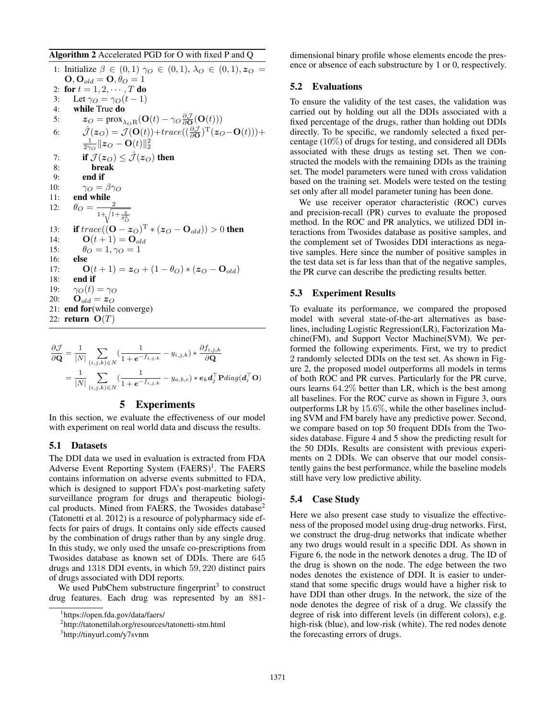# Algorithm 2 Accelerated PGD for O with fixed P and Q

1: Initialize  $\beta \in (0,1)$   $\gamma_O \in (0,1)$ ,  $\lambda_O \in (0,1)$ ,  $z_O =$  $\mathbf{O}, \mathbf{O}_{old} = \mathbf{O}, \theta_O = 1$ 2: for  $t = 1, 2, \dots, T$  do<br>3: Let  $\gamma_O = \gamma_O(t - 1)$ 3: Let  $\gamma_O = \gamma_O(t-1)$ <br>4: **while** True **do** while True do 5:  $z_O = \text{prox}_{\lambda_O \text{R}}(\mathbf{O}(t) - \gamma_O \frac{\partial \mathcal{J}}{\partial \mathbf{O}}(\mathbf{O}(t)))$ 6:  $\hat{\mathcal{J}}(z_O) = \mathcal{J}(\mathbf{O}(t)) + trace((\frac{\partial \mathcal{J}}{\partial \mathbf{O}})^{\mathrm{T}}(z_O - \mathbf{O}(t))) +$  $\frac{1}{2\gamma_O} \| z_O - \mathbf{O}(t) \|_2^2$ 7: **if**  $\mathcal{J}(z_O) \leq \hat{\mathcal{J}}(z_O)$  then<br>8: **break** break 9: **end if**<br>10:  $\gamma_O = \beta \gamma_O$ 10:  $\gamma_O = \beta \gamma_O$ <br>11: **end while** 12:  $\theta_O = \frac{2}{1 + \sqrt{1 + \frac{4}{\theta_O^2}}}$ 13: **if**  $trace((\mathbf{O} - z_O)^T * (z_O - \mathbf{O}_{old})) > 0$  then<br>14:  $\mathbf{O}(t+1) = \mathbf{O}_{old}$ 14: **O**(t + 1) = **O**<sub>old</sub><br>15:  $\theta_O = 1, \gamma_O = 1$ 15:  $\theta_O = 1, \gamma_O = 1$ <br>16: **else** else 17: **O**(t + 1) =  $z_O$  + (1 –  $\theta_O$ ) \* ( $z_O$  – **O**<sub>old</sub>)<br>18: **end if** end if 19:  $\gamma_O(t) = \gamma_O$ <br>20:  $\mathbf{O}_{old} = \mathbf{z}_O$ 21: end for(while converge) 22: return **<sup>O</sup>**(T)

$$
\frac{\partial \mathcal{J}}{\partial \mathbf{Q}} = \frac{1}{|N|} \sum_{(i,j,k) \in N} \left( \frac{1}{1 + e^{-f_{i,j,k}}} - y_{i,j,k} \right) * \frac{\partial f_{i,j,k}}{\partial \mathbf{Q}}
$$

$$
= \frac{1}{|N|} \sum_{(i,j,k) \in N} \left( \frac{1}{1 + e^{-f_{i,j,k}}} - y_{a,b,c} \right) * e_k \mathbf{d}_j^{\top} \mathbf{P} diag(\mathbf{d}_i^{\top} \mathbf{O})
$$

# 5 Experiments

In this section, we evaluate the effectiveness of our model with experiment on real world data and discuss the results.

#### 5.1 Datasets

The DDI data we used in evaluation is extracted from FDA Adverse Event Reporting System  $(FAERS)^1$ . The FAERS contains information on adverse events submitted to FDA, which is designed to support FDA's post-marketing safety surveillance program for drugs and therapeutic biological products. Mined from FAERS, the Twosides database<sup>2</sup> (Tatonetti et al. 2012) is a resource of polypharmacy side effects for pairs of drugs. It contains only side effects caused by the combination of drugs rather than by any single drug. In this study, we only used the unsafe co-prescriptions from Twosides database as known set of DDIs. There are 645 drugs and <sup>1318</sup> DDI events, in which <sup>59</sup>, <sup>220</sup> distinct pairs of drugs associated with DDI reports.

We used PubChem substructure fingerprint<sup>3</sup> to construct drug features. Each drug was represented by an 881dimensional binary profile whose elements encode the presence or absence of each substructure by 1 or 0, respectively.

### 5.2 Evaluations

To ensure the validity of the test cases, the validation was carried out by holding out all the DDIs associated with a fixed percentage of the drugs, rather than holding out DDIs directly. To be specific, we randomly selected a fixed percentage (10%) of drugs for testing, and considered all DDIs associated with these drugs as testing set. Then we constructed the models with the remaining DDIs as the training set. The model parameters were tuned with cross validation based on the training set. Models were tested on the testing set only after all model parameter tuning has been done.

We use receiver operator characteristic (ROC) curves and precision-recall (PR) curves to evaluate the proposed method. In the ROC and PR analytics, we utilized DDI interactions from Twosides database as positive samples, and the complement set of Twosides DDI interactions as negative samples. Here since the number of positive samples in the test data set is far less than that of the negative samples, the PR curve can describe the predicting results better.

#### 5.3 Experiment Results

To evaluate its performance, we compared the proposed model with several state-of-the-art alternatives as baselines, including Logistic Regression(LR), Factorization Machine(FM), and Support Vector Machine(SVM). We performed the following experiments. First, we try to predict 2 randomly selected DDIs on the test set. As shown in Figure 2, the proposed model outperforms all models in terms of both ROC and PR curves. Particularly for the PR curve, ours learns <sup>64</sup>.2% better than LR, which is the best among all baselines. For the ROC curve as shown in Figure 3, ours outperforms LR by <sup>15</sup>.6%, while the other baselines including SVM and FM barely have any predictive power. Second, we compare based on top 50 frequent DDIs from the Twosides database. Figure 4 and 5 show the predicting result for the 50 DDIs. Results are consistent with previous experiments on 2 DDIs. We can observe that our model consistently gains the best performance, while the baseline models still have very low predictive ability.

## 5.4 Case Study

Here we also present case study to visualize the effectiveness of the proposed model using drug-drug networks. First, we construct the drug-drug networks that indicate whether any two drugs would result in a specific DDI. As shown in Figure 6, the node in the network denotes a drug. The ID of the drug is shown on the node. The edge between the two nodes denotes the existence of DDI. It is easier to understand that some specific drugs would have a higher risk to have DDI than other drugs. In the network, the size of the node denotes the degree of risk of a drug. We classify the degree of risk into different levels (in different colors), e.g. high-risk (blue), and low-risk (white). The red nodes denote the forecasting errors of drugs.

<sup>1</sup> https://open.fda.gov/data/faers/

<sup>2</sup> http://tatonettilab.org/resources/tatonetti-stm.html

<sup>3</sup> http://tinyurl.com/y7svnm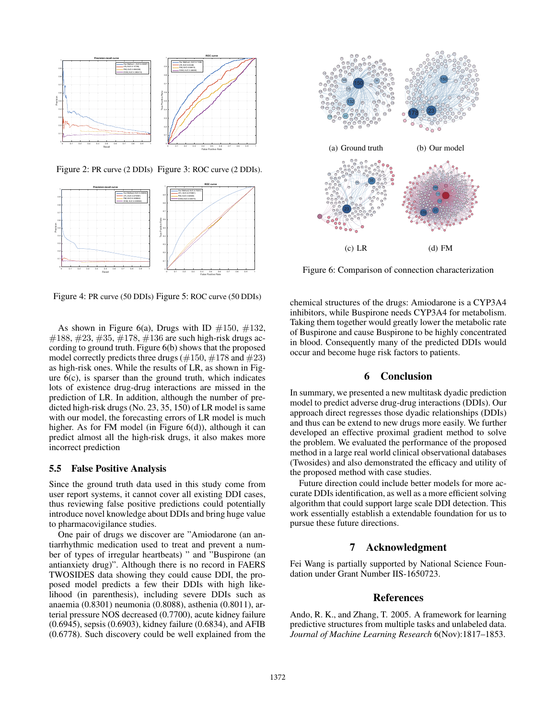

Figure 2: PR curve (2 DDIs) Figure 3: ROC curve (2 DDIs).



Figure 4: PR curve (50 DDIs) Figure 5: ROC curve (50 DDIs)

As shown in Figure 6(a), Drugs with ID  $\#150, \#132$ ,  $\#188, \#23, \#35, \#178, \#136$  are such high-risk drugs according to ground truth. Figure 6(b) shows that the proposed model correctly predicts three drugs ( $\#150, \#178$  and  $\#23$ ) as high-risk ones. While the results of LR, as shown in Figure  $6(c)$ , is sparser than the ground truth, which indicates lots of existence drug-drug interactions are missed in the prediction of LR. In addition, although the number of predicted high-risk drugs (No. 23, 35, 150) of LR model is same with our model, the forecasting errors of LR model is much higher. As for FM model (in Figure 6(d)), although it can predict almost all the high-risk drugs, it also makes more incorrect prediction

### 5.5 False Positive Analysis

Since the ground truth data used in this study come from user report systems, it cannot cover all existing DDI cases, thus reviewing false positive predictions could potentially introduce novel knowledge about DDIs and bring huge value to pharmacovigilance studies.

One pair of drugs we discover are "Amiodarone (an antiarrhythmic medication used to treat and prevent a number of types of irregular heartbeats) " and "Buspirone (an antianxiety drug)". Although there is no record in FAERS TWOSIDES data showing they could cause DDI, the proposed model predicts a few their DDIs with high likelihood (in parenthesis), including severe DDIs such as anaemia (0.8301) neumonia (0.8088), asthenia (0.8011), arterial pressure NOS decreased (0.7700), acute kidney failure (0.6945), sepsis (0.6903), kidney failure (0.6834), and AFIB (0.6778). Such discovery could be well explained from the



Figure 6: Comparison of connection characterization

chemical structures of the drugs: Amiodarone is a CYP3A4 inhibitors, while Buspirone needs CYP3A4 for metabolism. Taking them together would greatly lower the metabolic rate of Buspirone and cause Buspirone to be highly concentrated in blood. Consequently many of the predicted DDIs would occur and become huge risk factors to patients.

# 6 Conclusion

In summary, we presented a new multitask dyadic prediction model to predict adverse drug-drug interactions (DDIs). Our approach direct regresses those dyadic relationships (DDIs) and thus can be extend to new drugs more easily. We further developed an effective proximal gradient method to solve the problem. We evaluated the performance of the proposed method in a large real world clinical observational databases (Twosides) and also demonstrated the efficacy and utility of the proposed method with case studies.

Future direction could include better models for more accurate DDIs identification, as well as a more efficient solving algorithm that could support large scale DDI detection. This work essentially establish a extendable foundation for us to pursue these future directions.

# 7 Acknowledgment

Fei Wang is partially supported by National Science Foundation under Grant Number IIS-1650723.

### References

Ando, R. K., and Zhang, T. 2005. A framework for learning predictive structures from multiple tasks and unlabeled data. *Journal of Machine Learning Research* 6(Nov):1817–1853.